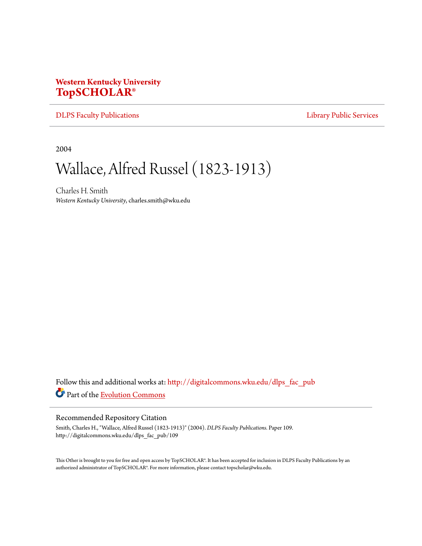## **Western Kentucky University [TopSCHOLAR®](http://digitalcommons.wku.edu?utm_source=digitalcommons.wku.edu%2Fdlps_fac_pub%2F109&utm_medium=PDF&utm_campaign=PDFCoverPages)**

[DLPS Faculty Publications](http://digitalcommons.wku.edu/dlps_fac_pub?utm_source=digitalcommons.wku.edu%2Fdlps_fac_pub%2F109&utm_medium=PDF&utm_campaign=PDFCoverPages) **[Library Public Services](http://digitalcommons.wku.edu/dlps?utm_source=digitalcommons.wku.edu%2Fdlps_fac_pub%2F109&utm_medium=PDF&utm_campaign=PDFCoverPages)** Library Public Services

2004

## Wallace, Alfred Russel (1823-1913)

Charles H. Smith *Western Kentucky University*, charles.smith@wku.edu

Follow this and additional works at: [http://digitalcommons.wku.edu/dlps\\_fac\\_pub](http://digitalcommons.wku.edu/dlps_fac_pub?utm_source=digitalcommons.wku.edu%2Fdlps_fac_pub%2F109&utm_medium=PDF&utm_campaign=PDFCoverPages) Part of the [Evolution Commons](http://network.bepress.com/hgg/discipline/18?utm_source=digitalcommons.wku.edu%2Fdlps_fac_pub%2F109&utm_medium=PDF&utm_campaign=PDFCoverPages)

## Recommended Repository Citation

Smith, Charles H., "Wallace, Alfred Russel (1823-1913)" (2004). *DLPS Faculty Publications.* Paper 109. http://digitalcommons.wku.edu/dlps\_fac\_pub/109

This Other is brought to you for free and open access by TopSCHOLAR®. It has been accepted for inclusion in DLPS Faculty Publications by an authorized administrator of TopSCHOLAR®. For more information, please contact topscholar@wku.edu.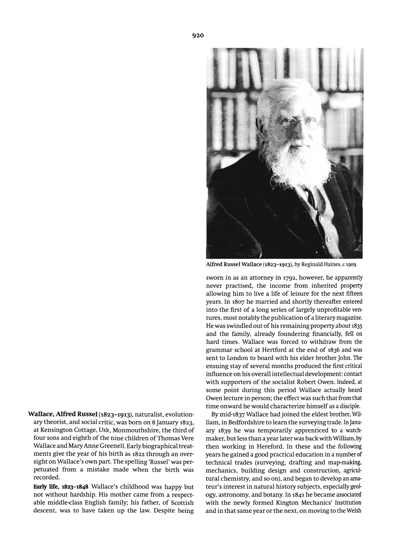

Alfred Russel Wallace (1823-1913), by Reginald Haines, c.1909

sworn in as an attorney in 1792, however, he apparently never practised, the income from inherited property allowing him to live a life of leisure for the next fifteen years. In 1807 he married and shortly thereafter entered into the first of a long series of largely unprofitable ventures, most notably the publication of a literary magazine. He was swindled out of his remaining property about 1835 and the family, already foundering financially, fell on hard times. Wallace was forced to withdraw from the grammar school at Hertford at the end of 1836 and was sent to London to board with his elder brother John. The ensuing stay of several months produced the first critical influence on his overall intellectual development: contact with supporters of the socialist Robert Owen. Indeed, at some point during this period Wallace actually heard Owen lecture in person; the effect was such that from that time onward he would characterize himself as a disciple.

By mid-1837 Wallace had joined the eldest brother, William, in Bedfordshire to learn the surveying trade. In January 1839 he was temporarily apprenticed to a watchmaker. but less than a year later was back with William, by then working in Hereford. In these and the following years he gained a good practical education in a number of technical trades (surveying, drafting and map-making. mechanics, building design and construction. agricultural chemistry, and so on), and began to develop an amateur's interest in natural history subjects. especially geology. astronomy, and botany. In 1841 he became associated with the newly formed Kington Mechanics' Institution and in that same year or the next, on moving to the Welsh

Wallace, Alfred Russel (1823-1913), naturalist, evolutionary theorist, and social critic. was born on 8 January 1823. at Kensington Cottage. Usk. Monmouthshire. the third of four sons and eighth of the nine children of Thomas Vere Wallace and Mary Anne Greenell. Early biographical treatments give the year of his birth as 1822 through an oversight on Wallace's own part. The spelling 'Russel' was perpetuated from a mistake made when the birth was recorded.

Early life. 1823-1848 Wallace's childhood was happy but not without hardship. His mother came from a respectable middle-class English family; his father, of Scottish descent, was to have taken up the law. Despite being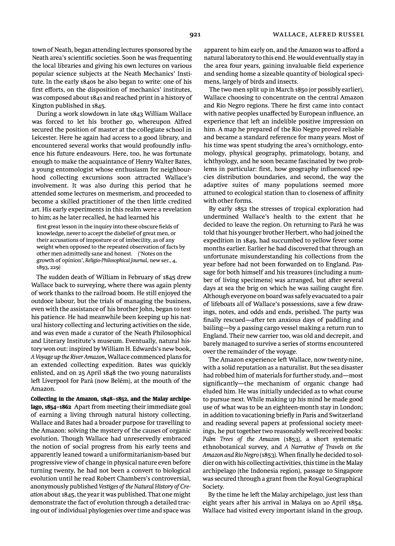town of Neath, began attending lectures sponsored by the Neath area's scientific societies. Soon he was frequenting the local libraries and giving his own lectures on various popular science subjects at the Neath Mechanics' Institute. In the early 1840S he also began to write: one of his first efforts, on the disposition of mechanics' institutes, was composed about 1841 and reached print in a history of Kington published in 1845.

During a work slowdown in late 1843 William Wallace was forced to let his brother go, whereupon Alfred secured the position of master at the collegiate school in Leicester. Here he again had access to a good library, and encountered several works that would profoundly influence his future endeavours. Here, too, he was fortunate enough to make the acquaintance of Henry Waiter Bates, a young entomologist whose enthusiasm for neighbourhood collecting excursions soon attracted Wallace's involvement. It was also during this period that he attended some lectures on mesmerism, and proceeded to become a skilled practitioner of the then little credited art. His early experiments in this realm were a revelation to him; as he later recalled, he had learned his

first great lesson in the inquiry into these obscure fields of knowledge, never to accept the disbelief of great men, or their accusations of imposture or of imbecility, as of any weight when opposed to the repeated observation of facts by other men admittedly sane and honest. ('Notes on the growth of opinion', *Religio-Philosophicaljournal,* new ser., 4, 1893,229)

The sudden death of William in February of 1845 drew Wallace back to surveying, where there was again plenty of work thanks to the railroad boom. He still enjoyed the outdoor labour, but the trials of managing the business, even with the assistance of his brother John, began to test his patience. He had meanwhile been keeping up his natural history collecting and lecturing activities on the side, and was even made a curator of the Neath Philosophical and Literary Institute's museum. Eventually, natural history won out: inspired by William H. Edwards's new book, A *Voyage up the* River *Amazon,* Wallace commenced plans for an extended collecting expedition. Bates was quickly enlisted, and on 25 April 1848 the two young naturalists left Liverpool for Pará (now Belém), at the mouth of the Amazon.

COUecting in the Amazon. 1848-1852. and the Malay archipe-1ago.1854-1862 Apart from meeting their immediate goal of earning a living through natural history collecting, Wallace and Bates had a broader purpose for travelling to the Amazon: solving the mystery of the causes of organic evolution. Though Wallace had unreservedly embraced the notion of social progress from his early teens and apparently leaned toward a uniformitarianism-based but progressive view of change in physical nature even before turning twenty, he had not been a convert to biological evolution until he read Robert Chambers's controversial, anonymously published *Vestiges of the Natural History of Creation* about 1845, the year it was published. That one might demonstrate the fact of evolution through a detailed tracing out of individual phylogenies over time and space was

apparent to him early on, and the Amazon was to afford a natural laboratory to this end. He would eventually stay in the area four years, gaining invaluable field experience and sending home a sizeable quantity of biological specimens, largely of birds and insects.

The two men split up in March 1850 (or possibly earlier), Wallace choosing to concentrate on the central Amazon and Rio Negro regions. There he first came into contact with native peoples unaffected by European influence, an experience that left an indelible positive impression on him. A map he prepared of the Rio Negro proved reliable and became a standard reference for many years. Most of his time was spent studying the area's ornithology, entomology, physical geography, primatology, botany, and ichthyology, and he soon became fascinated by two problems in particular: first, how geography influenced species distribution boundaries, and second, the way the adaptive suites of many populations seemed more attuned to ecological station than to closeness of affinity with other forms.

By early 1852 the stresses of tropical exploration had undermined Wallace's health to the extent that he decided to leave the region. On returning to Para he was told that his younger brother Herbert, who had joined the expedition in 1849, had succumbed to yellow fever some months earlier. Earlier he had discovered that through an unfortunate misunderstanding his collections from the year before had not been forwarded on to England. Passage for both himself and his treasures (including a number of living specimens) was arranged, but after several days at sea the brig on which he was sailing caught fire. Although everyone on board was safely evacuated to a pair of lifeboats all of Wallace's possessions, save a few drawings, notes, and odds and ends, perished. The party was finally rescued-after ten anxious days of paddling and bailing-by a passing cargo vessel making a return run to England. Their new carrier too, was old and decrepit, and barely managed to survive a series of storms encountered over the remainder of the voyage.

The Amazon experience left Wallace, now twenty-nine, with a solid reputation as a naturalist. But the sea disaster had robbed him of materials for further study, and-most significantly-the mechanism of organic change had eluded him. He was initially undecided as to what course to pursue next. While making up his mind he made good use of what was to be an eighteen-month stay in London; in addition to vacationing briefly in Paris and Switzerland and reading several papers at professional society meetings, he put together two reasonably well-received books: *Palm Trees of the Amazon* (1853), a short systematic ethnobotanical survey, and *A Narrative of Travels* on *the Amazon and Rio* Negro (1853). When finally he decided to soldier on with his collecting activities, this time in the Malay archipelago (the Indonesia region), passage to Singapore was secured through a grant from the Royal Geographical Society.

By the time he left the Malay archipelago, just less than eight years after his arrival in Malaya on 20 April 1854, Wallace had visited every important island in the group,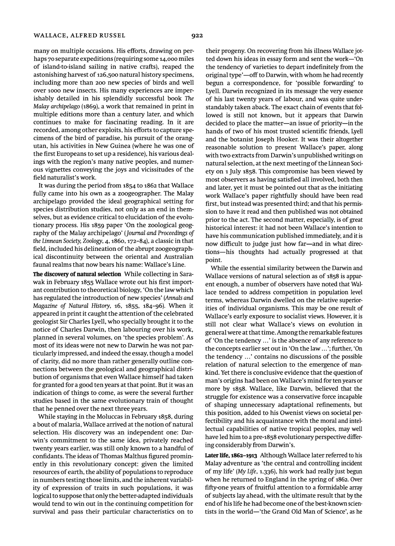many on multiple occasions. His efforts, drawing on perhaps 70 separate expeditions (requiring some 14,000 miles of island-to-island sailing in native crafts), reaped the astonishing harvest of 126,500 natural history specimens, including more than 200 new species of birds and well over 1000 new insects. His many experiences are imperishably detailed in his splendidly successful book The *Malay archipelago* (1869), a work that remained in print in multiple editions more than a century later, and which continues to make for fascinating reading. In it are recorded, among other exploits, his efforts to capture specimens of the bird of paradise, his pursuit of the orangutan, his activities in New Guinea (where he was one of the first Europeans to set up a residence), his various dealings with the region's many native peoples, and numerous vignettes conveying the joys and vicissitudes of the field naturalist's work.

It was during the period from 1854 to 1862 that Wallace fully came into his own as a zoogeographer. The Malay archipelago provided the ideal geographical setting for species distribution studies, not only as an end in themselves, but as evidence critical to elucidation of the evolutionary process. His 1859 paper 'On the zoological geography of the Malay archipelago' *(Journal and Proceedings of the Linnean* Society, *Zoology,* 4, 1860, 172-84), a classic in that field, included his delineation of the abrupt zoogeographical discontinuity between the oriental and Australian faunal realms that now bears his name: Wallace's Line.

**The discovery of natural selection** While collecting in Sarawak in February 1855 Wallace wrote out his first important contribution to theoretical biology, 'On the law which has regulated the introduction of new species' *(Annals and Magazine of Natural History,* 16, 1855, 184-96). When it appeared in print it caught the attention of the celebrated geologist Sir Charles Lyell, who specially brought it to the notice of Charles Darwin, then labouring over his work, planned in several volumes, on 'the species problem'. As most of its ideas were not new to Darwin he was not particularly impressed, and indeed the essay, though a model of clarity, did no more than rather generally outline connections between the geological and geographical distribution of organisms that even Wallace himself had taken for granted for a good ten years at that point. But it was an indication of things to come, as were the several further studies based in the same evolutionary train of thought that he penned over the next three years.

While staying in the Moluccas in February 1858, during a bout of malaria, Wallace arrived at the notion of natural selection. His discovery was an independent one: Darwin's commitment to the same idea, privately reached twenty years earlier, was still only known to a handful of confidants. The ideas of Thomas Malthus figured prominently in this revolutionary concept: given the limited resources of earth, the ability of populations to reproduce in numbers testing those limits, and the inherent variability of expression of traits in such populations, it was logical to suppose that only the better-adapted individuals would tend to win out in the continuing competition for survival and pass their particular characteristics on to

their progeny. On recovering from his illness Wallace jotted down his ideas in essay form and sent the work-'On the tendency of varieties to depart indefinitely from the original type'-off to Darwin, with whom he had recently begun a correspondence, for 'possible forwarding' to Lyel!. Darwin recognized in its message the very essence of his last twenty years of labour, and was quite under· standably taken aback. The exact chain of events that followed is still not known, but it appears that Darwin decided to place the matter-an issue of priority-in the hands of two of his most trusted scientific friends, Lyell and the botanist Joseph Hooker. It was their altogether reasonable solution to present Wallace's paper, along with two extracts from Darwin's unpublished writings on natural selection, at the next meeting of the Linnean Society on 1 July 1858. This compromise has been viewed by most observers as having satisfied all involved, both then and later, yet it must be pointed out that as the initiating work Wallace's paper rightfully should have been read first, but instead was presented third; and that his permission to have it read and then published was not obtained prior to the act. The second matter, especially, is of great historical interest: it had not been Wallace's intention to have his communication published immediately, and it is now difficult to judge just how far-and in what directions-his thoughts had actually progressed at that point.

While the essential similarity between the Darwin and Wallace versions of natural selection as of 1858 is apparent enough, a number of observers have noted that Wallace tended to address competition in population level terms, whereas Darwin dwelled on the relative superiorities of individual organisms. This may be one result of Wallace's early exposure to socialist views. However, it is still not clear what Wallace's views on evolution in general were at that time. Among the remarkable features of 'On the tendency ... ' is the absence of any reference to the concepts earlier set out in 'On the law ... '; further, 'On the tendency ... ' contains no discussions of the possible relation of natural selection to the emergence of mankind. Yet there is conclusive evidence that the question of man's origins had been on Wallace's mind for ten years or more by 1858. Wallace, like Darwin, believed that the struggle for existence was a conservative force incapable of shaping unnecessary adaptational refinements, but this position, added to his Owenist views on societal perfectibility and his acquaintance with the moral and intellectual capabilities of native tropical peoples, may well have led him to a pre-1858 evolutionary perspective differing considerably from Darwin's.

**Later** life, 1862-1913 Although Wallace later referred to his Malay adventure as 'the central and controlling incident of my life' (My *Life,* 1.336), his work had really just begun when he returned to England in the spring of 1862. Over fifty-one years of fruitful attention to a formidable array of subjects lay ahead, with the ultimate result that by the end of his life he had become one of the best-known scientists in the world-'the Grand Old Man of Science', as he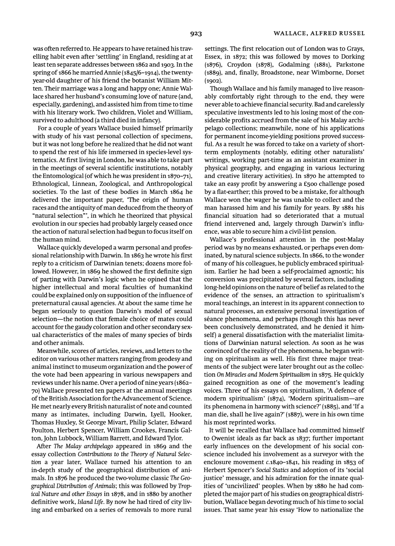was often referred to. He appears to have retained his travelling habit even after 'settling' in England, residing at at least ten separate addresses between 1862 and 1903. In the spring of 1866 he marriedAnnie (1845/6-1914), the twentyyear-old daughter of his friend the botanist William Mitten. Their marriage was a long and happy one; Annie Wallace shared her husband's consuming love of nature (and, especially, gardening), and assisted him from time to time with his literary work. Two children, Violet and William, survived to adulthood (a third died in infancy).

For a couple of years Wallace busied himself primarily with study of his vast personal collection of specimens, but it was not long before he realized that he did not want to spend the rest of his life immersed in species-level systematics. At first living in London, he was able to take part in the meetings of several scientific institutions, notably the Entomological (of which he was president in 1870-71), Ethnological, Unnean, Zoological, and Anthropological societies. To the last of these bodies in March 1864 he delivered the important paper, 'The origin of human races and the antiquity of man deduced from the theory of "natural selection"', in which he theorized that physical evolution in our species had probably largely ceased once the action of natural selection had begun to focus itself on the human mind.

Wallace quickly developed a warm personal and professional relationship with Darwin. In 1863 he wrote his first reply to a criticism of Darwinian tenets; dozens more followed. However, in 1869 he showed the first definite sign of parting with Darwin's logic when he opined that the higher intellectual and moral faculties of humankind could be explained only on supposition of the influence of preternatural causal agencies. At about the same time he began seriously to question Darwin's model of sexual selection-the notion that female choice of mates could account for the gaudy coloration and other secondary sexual characteristics of the males of many species of birds and other animals.

Meanwhile, scores of articles, reviews, and letters to the editor on various other matters ranging from geodesy and animal instinct to museum organization and the power of the vote had been appearing in various newspapers and reviews under his name. Over a period of nine years (1862- 70) Wallace presented ten papers at the annual meetings of the British Association for the Advancement of Science. He met nearly every British naturalist of note and counted many as intimates, including Darwin, Lyell, Hooker, Thomas Huxley, St George Mivart, Philip Sclater, Edward Poulton, Herbert Spencer, William Crookes, Francis Galton, John Lubbock, William Barrett, and Edward Tylor.

After The *Malay archipelago* appeared in 1869 and the essay collection *Contributions* to the Theory *of Natural* Selection a year later, Wallace turned his attention to an in-depth study of the geographical distribution of animals. In 1876 he produced the two-volume classic The Geo*graphical Distribution of Animals;* this was followed by *Tropical Nature and other Essays* in 1878, and in 1880 by another definitive work, *Island Life.* By now he had tired of city living and embarked on a series of removals to more rural

settings. The first relocation out of London was to Grays, Essex, in 1872; this was followed by moves to Dorking (1876), Croydon (1878), Godalming (1881), Parkstone (1889), and, finally, Broadstone, near Wimborne, Dorset (1902).

Though Wallace and his family managed to live reasonably comfortably right through to the end, they were never able to achieve financial security. Bad and carelessly speculative investments led to his losing most of the considerable profits accrued from the sale of his Malay archipelago collections; meanwhile, none of his applications for permanent income-yielding positions proved successful. As a result he was forced to take on a variety of shortterm employments (notably, editing other naturalists' writings, working part-time as an assistant examiner in physical geography, and engaging in various lecturing and creative literary activities). In 1870 he attempted to take an easy profit by answering a £500 challenge posed by a flat-earther; this proved to be a mistake, for although Wallace won the wager he was unable to collect and the man harassed him and his family for years. By 1881 his financial situation had so deteriorated that a mutual friend intervened and, largely through Darwin's influence, was able to secure him a civil-list pension.

Wallace's professional attention in the post-Malay period was by no means exhausted, or perhaps even dominated, by natural science subjects. In 1866, to the wonder of many of his colleagues, he publicly embraced spiritualism. Earlier he had been a self-proclaimed agnostic; his conversion was precipitated by several factors, including long-held opinions on the nature of belief as related to the evidence of the senses, an attraction to spiritualism's moral teachings, an interest in its apparent connection to natural processes, an extensive personal investigation of seance phenomena, and perhaps (though this has never been conclusively demonstrated, and he denied it himself) a general dissatisfaction with the materialist limitations of Darwinian natural selection. As soon as he was convinced of the reality of the phenomena, he began writing on spiritualism as well. His first three major treatments of the subject were later brought out as the collection On *Miracles and Modern Spiritualism* in 1875. He quickly gained recognition as one of the movement's leading voices. Three of his essays on spiritualism, 'A defence of modern spiritualism' (1874). 'Modern spiritualism-are its phenomena in harmony with science?' (1885), and 'If a man die, shall he live again?' (1887), were in his own time his most reprinted works.

It will be recalled that Wallace had committed himself to Owenist ideals as far back as 1837; further important early influences on the development of his social conscience included his involvement as a surveyor with the enclosure movement *c.1840-1841,* his reading in 1853 of Herbert Spencer's Social *Statics* and adoption of its 'social justice' message. and his admiration for the innate qualities of 'uncivilized' peoples. When by 1880 he had completed the major part of his studies on geographical distribution, Wallace began devoting much of his time to social issues. That same year his essay 'How to nationalize the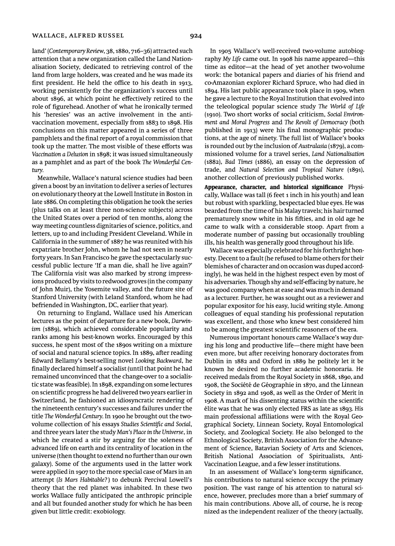land' *(Contemporary Review,* 38, 1880. 716-36) attracted such attention that a new organization called the Land Nationalisation Society. dedicated to retrieving control of the land from large holders. was created and he was made its first president. He held the office to his death in 1913, working persistently for the organization's success until about 1896. at which point he effectively retired to the role of figurehead. Another of what he ironically termed his 'heresies' was an active involvement in the antivaccination movement, especially from 1883 to 1898. His conclusions on this matter appeared in a series of three pamphlets and the final report of a royal commission that took up the matter. The most visible of these efforts was *Vacdnation a Delusion* in 1898; it was issued simultaneously as a pamphlet and as part of the book The *Wonderful Century.* 

Meanwhile, Wallace's natural science studies had been given a boost by an invitation to deliver a series of lectures on evolutionary theory at the Lowell Institute in Boston in late 1886. On completing this obligation he took the series (plus talks on at least three non-science subjects) across the United States over a period of ten months, along the way meeting countless dignitaries of science, politics, and letters, up to and including President Cleveland. While in California in the summer of 1887 he was reunited with his expatriate brother John. whom he had not seen in nearly forty years. In San Francisco he gave the spectacularly successful public lecture 'If a man die, shall he live again?' The California visit was also marked by strong impressions produced by visits to redwood groves (in the company of John Muir), the Yosemite valley. and the future site of Stanford University (with Leland Stanford. whom he had befriended in Washington. DC, earlier that year).

On returning to England. Wallace used his American lectures as the point of departure for a new book, *Darwin*ism (1889). which achieved considerable popularity and ranks among his best-known works. Encouraged by this success, he spent most of the 1890s writing on a mixture of social and natural science topics. In 1889, after reading Edward Bellamy's best-selling novel *Looking Backward.* he finally declared himself a socialist (until that point he had remained unconvinced that the change-over to a socialistic state was feasible). In 1898, expanding on some lectures on scientific progress he had delivered two years earlier in Switzerland. he fashioned an idiosyncratic rendering of the nineteenth century's successes and failures under the title The Wonderful Century. In 1900 he brought out the twovolume collection of his essays *Studies Sdentijic and Sodal.*  and three years later the study *Man's Place* in *the Universe.* in which he created a stir by arguing for the soleness of advanced life on earth and its centrality of location in the universe (then thought to extend no further than our own galaxy). Some of the arguments used in the latter work were applied in 1907 to the more special case of Mars in an attempt *(Is Mars Habitable?)* to debunk Percival Lowell's theory that the red planet was inhabited. In these two works Wallace fully anticipated the anthropic principle and all but founded another study for which he has been given but little credit: exobiology.

In 1905 Wallace's well-received two-volume autobiography My Life came out. In 1908 his name appeared-this time as editor-at the head of yet another two-volume work: the botanical papers and diaries of his friend and co-Amazonian explorer Richard Spruce. who had died in 1894. His last public appearance took place in 1909. when he gave a lecture to the Royal Institution that evolved into the teleological popular science study The World *of Life*  (1910). Two short works of social criticism. *Sodal Environment and* Moral *Progress* and The Revolt *of Democracy* (both published in 1913) were his final monographic productions. at the age of ninety. The full list of Wallace's books is rounded out by the inclusion of *Australasia* (1879), a commissioned volume for a travel series. *Land Nationalisation (1882). Bad Times* (1886), an essay on the depression of trade. and *Natural Selection and Tropical Nature (1891).*  another collection of previously published works.

Appearance. character. and historical significance Physically, Wallace was tall (6 feet 1 inch in his youth) and lean but robust with sparkling, bespectacled blue eyes. He was bearded from the time of his Malay travels; his hair turned prematurely snow white in his fifties. and in old age he came to walk with a considerable stoop. Apart from a moderate number of passing but occasionally troubling ills. his health was generally good throughout his life.

Wallace was especially celebrated for his forthright honesty. Decent to a fault (he refused to blame others for their blemishes of character and on occasion was duped accordingly). he was held in the highest respect even by most of his adversaries. Though shy and self-effacing by nature. he was good company when at ease and was much in demand as a lecturer. Further. he was sought out as a reviewer and popular expositor for his easy. lucid writing style. Among colleagues of equal standing his professional reputation was excellent, and those who knew best considered him to be among the greatest scientific reasoners of the era.

Numerous important honours came Wallace's way during his long and productive life-there might have been even more, but after receiving honorary doctorates from Dublin in 1882 and Oxford in 1889 he politely let it be known he desired no further academic honoraria. He received medals from the Royal Society in 1868. 1890, and 1908, the Société de Géographie in 1870, and the Linnean Society in 1892 and 1908, as well as the Order of Merit in 1908. A mark of his dissenting status within the scientific elite was that he was only elected FRS as late as 1893. His main professional affiliations were with the Royal Geographical Society, Linnean Society. Royal Entomological Society. and Zoological Society. He also belonged to the Ethnological Society. British Association for the Advancement of Science, Batavian Society of Arts and Sciences, British National Association of Spiritualists, Anti-Vaccination League. and a few lesser institutions.

In an assessment of Wallace's long-term significance, his contributions to natural science occupy the primary position. The vast range of his attention to natural science, however. precludes more than a brief summary of his main contributions. Above all, of course. he is recognized as the independent realizer of the theory (actually,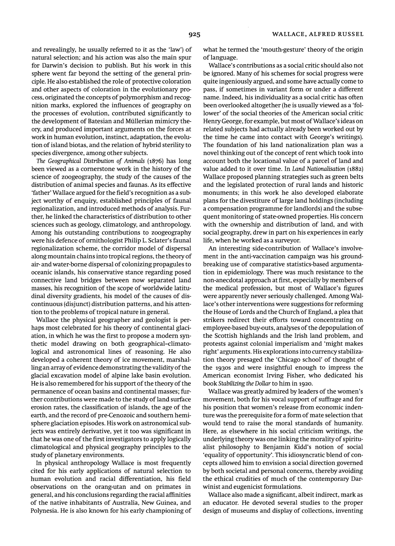and revealingly, he usually referred to it as the 'law') of natural selection; and his action was also the main spur for Darwin's decision to publish. But his work in this sphere went far beyond the setting of the general principle. He also established the role of protective coloration and other aspects of coloration in the evolutionary process, originated the concepts of polymorphism and recognition marks, explored the influences of geography on the processes of evolution, contributed significantly to the development of Batesian and Mullerian mimicry theory, and produced important arguments on the forces at work in human evolution, instinct, adaptation, the evolution of island biotas, and the relation of hybrid sterility to species divergence, among other subjects.

The Geographical Distribution of Animals (1876) has long been viewed as a cornerstone work in the history of the science of zoogeography, the study of the causes of the distribution of animal species and faunas. As its effective 'father' Wallace argued for the field's recognition as a subject worthy of enquiry, established principles of faunal regionalization, and introduced methods of analysis. Further, he linked the characteristics of distribution to other sciences such as geology, climatology, and anthropology. Among his outstanding contributions to zoogeography were his defence of ornithologist Philip L. Sclater's faunal regionalization scheme, the corridor model of dispersal along mountain chains into tropical regions, the theory of air- and water-borne dispersal of colonizing propagules to oceanic islands, his conservative stance regarding posed connective land bridges between now separated land masses, his recognition of the scope of worldwide latitudinal diversity gradients, his model of the causes of discontinuous (disjunct) distribution patterns, and his attention to the problems of tropical nature in general.

Wallace the physical geographer and geologist is perhaps most celebrated for his theory of continental glaciation, in which he was the first to propose a modem synthetic model drawing on both geographical-climatological and astronomical lines of reasoning. He also developed a coherent theory of ice movement, marshalling an array of evidence demonstrating the validity of the glacial excavation model of alpine lake basin evolution. He is also remembered for his support of the theory of the permanence of ocean basins and continental masses; further contributions were made to the study of land surface erosion rates, the classification of islands, the age of the earth, and the record of pre-Cenozoic and southern hemisphere glaciation episodes. His work on astronomical subjects was entirely derivative, yet it too was significant in that he was one of the first investigators to apply logically climatological and physical geography principles to the study of planetary environments.

In physical anthropology Wallace is most frequently cited for his early applications of natural selection to human evolution and racial differentiation, his field observations on the orang-utan and on primates in general, and his conclusions regarding the racial affinities of the native inhabitants of Australia, New Guinea, and Polynesia. He is also known for his early championing of what he termed the 'mouth-gesture' theory of the origin of language.

Wallace's contributions as a social critic should also not be ignored. Many of his schemes for social progress were quite ingeniously argued, and some have actually come to pass, if sometimes in variant form or under a different name. Indeed, his individuality as a social critic has often been overlooked altogether (he is usually viewed as a 'follower' of the social theories of the American social critic Henry George, for example, but most of Wallace's ideas on related subjects had actually already been worked out by the time he came into contact with George's writings). The foundation of his land nationalization plan was a novel thinking out of the concept of rent which took into account both the locational value of a parcel of land and value added to it over time. In Land *Nationalisation* (1882) Wallace proposed planning strategies such as green belts and the legislated protection of rural lands and historic monuments; in this work he also developed elaborate plans for the divestiture of large land holdings (including a compensation programme for landlords) and the subsequent monitoring of state-owned properties. His concern with the ownership and distribution of land, and with social geography, drew in part on his experiences in early life, when he worked as a surveyor.

An interesting side-contribution of Wallace's involvement in the anti-vaccination campaign was his groundbreaking use of comparative statistics-based argumentation in epidemiology. There was much resistance to the non-anecdotal approach at first, especially by members of the medical profession, but most of Wallace's figures were apparently never seriously challenged. Among Wallace's other interventions were suggestions for reforming the House of Lords and the Church of England, a plea that strikers redirect their efforts toward concentrating on employee-based buy-outs, analyses of the depopulation of the Scottish highlands and the Irish land problem, and protests against colonial imperialism and 'might makes right' arguments. His explorations into currency stabilization theory presaged the 'Chicago school' of thought of the 1930S and were insightful enough to impress the American economist Irving Fisher, who dedicated his book *Stabilizing the* Dollar to him in 1920.

Wallace was greatly admired by leaders of the women's movement, both for his vocal support of suffrage and for his position that women's release from economic indenture was the prerequisite for a form of mate selection that would tend to raise the moral standards of humanity. Here, as elsewhere in his social criticism writings, the underlying theory was one linking the morality of spiritualist philosophy to Benjamin Kidd's notion of social 'equality of opportunity'. This idiosyncratic blend of concepts allowed him to envision a social direction governed by both societal and personal concerns, thereby avoiding the ethical crudities of much of the contemporary Darwinist and eugenicist formulations.

Wallace also made a significant, albeit indirect, mark as an educator. He devoted several studies to the proper design of museums and display of collections, inventing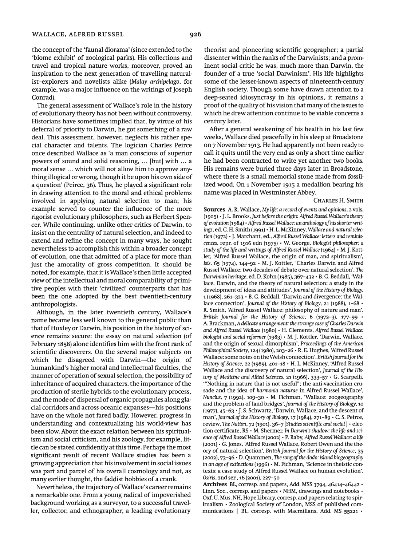the concept of the 'faunal diorama' (since extended to the 'biome exhibit' of zoological parks). His collections and travel and tropical nature works, moreover, proved an inspiration to the next generation of travelling naturalist-explorers and novelists alike (Malay archipelago, for example, was a major influence on the writings of ]oseph Conrad).

The general assessment of Wallace's role in the history of evolutionary theory has not been without controversy. Historians have sometimes implied that, by virtue of his deferral of priority to Darwin, he got something of a raw deal. This assessment, however, neglects his rather special character and talents. The logician Charles Peirce once described Wallace as 'a man conscious of superior powers of sound and solid reasoning, ... [but) with ... a moral sense ... which will not allow him to approve anything illogical or wrong, though it be upon his own side of a question' (Peirce, 36). Thus, he played a significant role in drawing attention to the moral and ethical problems involved in applying natural selection to man; his example served to counter the influence of the more rigorist evolutionary philosophers, such as Herbert Spencer. While continuing, unlike other critics of Darwin, to insist on the centrality of natural selection, and indeed to extend and refine the concept in many ways, he sought nevertheless to accomplish this within a broader concept of evolution, one that admitted of a place for more than just the amorality of gross competition. It should be noted, for example, that it is Wallace's then little accepted view of the intellectual and moral comparability of primitive peoples with their 'civilized' counterparts that has been the one adopted by the best twentieth-century anthropologists.

Although, in the later twentieth century, Wallace's name became less well known to the general public than that of Huxley or Darwin, his position in the history of science remains secure: the essay on natural selection (of February 1858) alone identifies him with the front rank of scientific discoverers. On the several major subjects on which he disagreed with Darwin-the origin of humankind's higher moral and intellectual faculties, the manner of operation of sexual selection, the possibility of inheritance of acquired characters, the importance of the production of sterile hybrids to the evolutionary process, and the mode of dispersal of organic propagules along glacial corridors and across oceanic expanses-his positions have on the whole not fared badly. However, progress in understanding and contextualizing his world-view has been slow. About the exact relation between his spiritualism and social criticism, and his zoology, for example, little can be stated confidently at this time. Perhaps the most significant result of recent Wallace studies has been a growing appreciation that his involvement in social issues was part and parcel of his overall cosmology and not, as many earlier thought, the faddist hobbies of a crank.

Nevertheless, the trajectory of Wallace's career remains a remarkable one. From a young radical of impoverished background working as a surveyor, to a successful traveller, collector, and ethnographer; a leading evolutionary theorist and pioneering scientific geographer; a partial dissenter within the ranks of the Darwinists; and a prominent social critic he was, much more than Darwin, the founder of a true 'social Darwinism'. His life highlights some of the lesser-known aspects of nineteenth-century English society. Though some have drawn attention to a deep-seated idiosyncrasy in his opinions, it remains a proof of the quality of his vision that many of the issues to which he drew attention continue to be viable concerns a century later.

After a general weakening of his health in his last few weeks, Wallace died peacefully in his sleep at Broadstone on 7 November 1913. He had apparently not been ready to call it quits until the very end as only a short time earlier he had been contracted to write yet another two books. His remains were buried three days later in Broadstone, where there is a small memorial stone made from fossilized wood. On 1 November 1915 a medallion bearing his name was placed in Westminster Abbey.

## CHARLES H. SMITH

Sources A. R. Wallace, My *life: a record of events and opinions,* 2 vols. (1905) • J. L. Brooks,Just *before the* origin: *Alfred Russel Wallace's theory of evolution* (1984) • *Alfred Russel Wallace: an anthology of his shorterwrit·*  ings, ed. C. H. Smith (1991) • H. L. McKinney, *Wallace and naturalselec·*  tion (1972) • J. Marchant, ed., *Alfred Russel Wallace: letters and reminis· cences,* repr. of 1916 edn (1975) • W. George, Biologist *philosopher: a study of the life and* writings *of Alfred Russel Wallace* (1964) • M.J. Kottler, 'Alfred Russel Wallace, the origin of man, and spiritualism', Isis, 65 (1974), 144-92 • M. J. Kottler, 'Charles Darwin and Alfred Russel Wallace: two decades of debate over natural selection', The *Darwinian heritage.* ed. D. Kohn (1985),367-432 • B. G. Beddall, 'Wal· lace, Darwin, and the theory of natural selection: a study in the development of ideas and attitudes', *Journal of the History of* Biology, 1 (1968), 261-323 • B. G. Beddall, 'Darwin and divergence: the Wal· lace connection', *Journal of the History of* Biology, 21 (1988), 1-68 • R. Smith, 'Alfred Russel Wallace: philosophy of nature and man', *British Journal for the History of Sdence,* 6 (1972-3), 177-99 • A. Brackman, *A delicate arrangement: the strange case of Charles Darwin and Alfred Russel Wallace* (1980) • H. Clements, *Alfred Russel Wallace: biologist and sodal reformer* (1983) • M. J. Kottler, 'Darwin, Wallace, and the origin of sexual dimorphism', *Proceedings of the American Philosophical Sodety,* 124 (1980),203-26 • R. E. Hughes, 'Alfred Russel Wallace: some notes on the Welsh connection', *BritishJournalforthe History of Sdence,* 22 (1989), 401-18 • H. L. McKinney, 'Alfred Russel Wallace and the discovery of natural selection', *Journal of the* His· *tory of Medidne and Allied Sdences,* 21 (1966), 333-57 • G. Scarpelli, '"Nothing in nature that is not useful"; the anti·vaccination crusade and the idea of *harmonia naturae* in Alfred Russel Wallace', *Nundus,* 7 (1992), 109-30 • M. Fichman, 'Wallace: zoogeography and the problem of land bridges', *Journal of the History of Biology*, 10 (1977), 45-63  $\cdot$  J. S. Schwartz, 'Darwin, Wallace, and the descent of man', *Journal of the History of Biology*, 17 (1984), 271-89  $\cdot$  C. S. Peirce, review, *The Nation, 72 (1901), 36-7 [Studies scientific and social]* • election certificate, RS • M. Shermer, In *Darwin's shadow: the life and sd· ence of Alfred Russel Wallace* (2002) • P. Raby, *Alfred Russel Wallace: a life*  (2001) • G.Jones, 'Alfred Russel Wallace, Robert Owen and the the· ory of natural selection', *British Journal for the History of Sdence,* 35 (2002),73-96 • D. Quammen, The *song of the dodo:* island *biogeography*  in *an age of* extinctions (1996) • M. Fichman, 'Science in theistic con· texts: a case study of Alfred Russel Wallace on human evolution', *Osiris,* 2nd ser., 16 (2001), 227-50

Archives BL, corresp. and papers, Add. MSS 3794, 46414-46442 · Linn. Soc., corresp. and papers· NHM, drawings and notebooks· Oxf. U. Mus. NH, Hope Library, corresp. and papers relating to spiritualism • Zoological Society of London, MSS of published communications | BL, corresp. with Macmillans, Add. MS 55221  $\cdot$